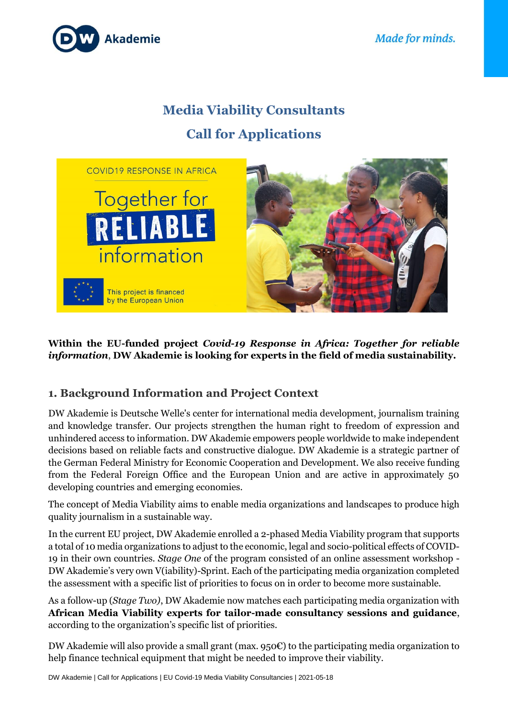

# **Media Viability Consultants Call for Applications**



## **Within the EU-funded project** *Covid-19 Response in Africa: Together for reliable information*, **DW Akademie is looking for experts in the field of media sustainability.**

# **1. Background Information and Project Context**

DW Akademie is Deutsche Welle's center for international media development, journalism training and knowledge transfer. Our projects strengthen the human right to freedom of expression and unhindered access to information. DW Akademie empowers people worldwide to make independent decisions based on reliable facts and constructive dialogue. DW Akademie is a strategic partner of the German Federal Ministry for Economic Cooperation and Development. We also receive funding from the Federal Foreign Office and the European Union and are active in approximately 50 developing countries and emerging economies.

The concept of Media Viability aims to enable media organizations and landscapes to produce high quality journalism in a sustainable way.

In the current EU project, DW Akademie enrolled a 2-phased Media Viability program that supports a total of 10 media organizations to adjust to the economic, legal and socio-political effects of COVID-19 in their own countries. *Stage One* of the program consisted of an online assessment workshop - DW Akademie's very own V(iability)-Sprint. Each of the participating media organization completed the assessment with a specific list of priorities to focus on in order to become more sustainable.

As a follow-up (*Stage Two)*, DW Akademie now matches each participating media organization with **African Media Viability experts for tailor-made consultancy sessions and guidance**, according to the organization's specific list of priorities.

DW Akademie will also provide a small grant (max. 950€) to the participating media organization to help finance technical equipment that might be needed to improve their viability.